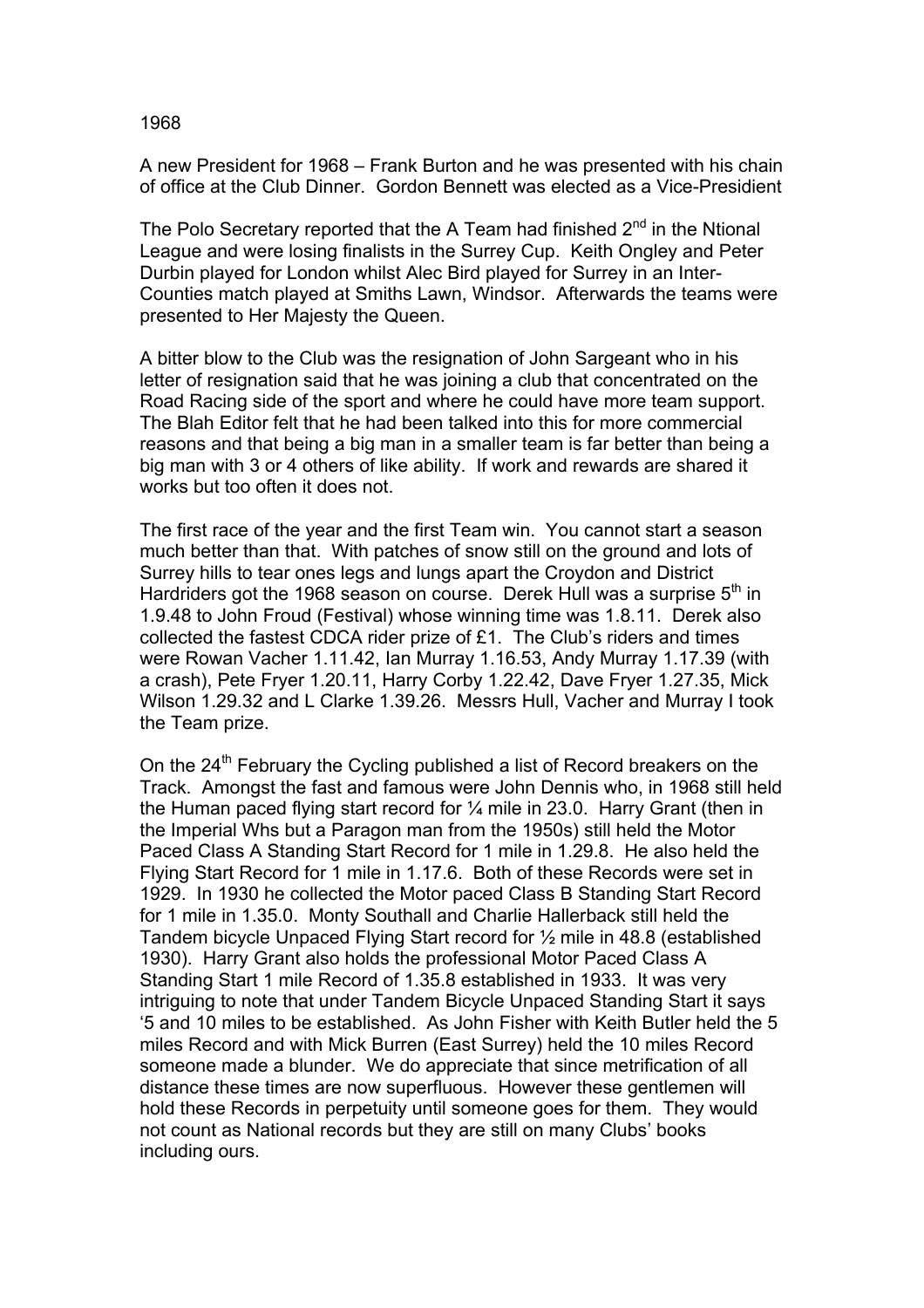A new President for 1968 – Frank Burton and he was presented with his chain of office at the Club Dinner. Gordon Bennett was elected as a Vice-Presidient

The Polo Secretary reported that the A Team had finished  $2^{nd}$  in the Ntional League and were losing finalists in the Surrey Cup. Keith Ongley and Peter Durbin played for London whilst Alec Bird played for Surrey in an Inter-Counties match played at Smiths Lawn, Windsor. Afterwards the teams were presented to Her Majesty the Queen.

A bitter blow to the Club was the resignation of John Sargeant who in his letter of resignation said that he was joining a club that concentrated on the Road Racing side of the sport and where he could have more team support. The Blah Editor felt that he had been talked into this for more commercial reasons and that being a big man in a smaller team is far better than being a big man with 3 or 4 others of like ability. If work and rewards are shared it works but too often it does not.

The first race of the year and the first Team win. You cannot start a season much better than that. With patches of snow still on the ground and lots of Surrey hills to tear ones legs and lungs apart the Croydon and District Hardriders got the 1968 season on course. Derek Hull was a surprise  $5<sup>th</sup>$  in 1.9.48 to John Froud (Festival) whose winning time was 1.8.11. Derek also collected the fastest CDCA rider prize of £1. The Club's riders and times were Rowan Vacher 1.11.42, Ian Murray 1.16.53, Andy Murray 1.17.39 (with a crash), Pete Fryer 1.20.11, Harry Corby 1.22.42, Dave Fryer 1.27.35, Mick Wilson 1.29.32 and L Clarke 1.39.26. Messrs Hull, Vacher and Murray I took the Team prize.

On the  $24<sup>th</sup>$  February the Cycling published a list of Record breakers on the Track. Amongst the fast and famous were John Dennis who, in 1968 still held the Human paced flying start record for ¼ mile in 23.0. Harry Grant (then in the Imperial Whs but a Paragon man from the 1950s) still held the Motor Paced Class A Standing Start Record for 1 mile in 1.29.8. He also held the Flying Start Record for 1 mile in 1.17.6. Both of these Records were set in 1929. In 1930 he collected the Motor paced Class B Standing Start Record for 1 mile in 1.35.0. Monty Southall and Charlie Hallerback still held the Tandem bicycle Unpaced Flying Start record for ½ mile in 48.8 (established 1930). Harry Grant also holds the professional Motor Paced Class A Standing Start 1 mile Record of 1.35.8 established in 1933. It was very intriguing to note that under Tandem Bicycle Unpaced Standing Start it says '5 and 10 miles to be established. As John Fisher with Keith Butler held the 5 miles Record and with Mick Burren (East Surrey) held the 10 miles Record someone made a blunder. We do appreciate that since metrification of all distance these times are now superfluous. However these gentlemen will hold these Records in perpetuity until someone goes for them. They would not count as National records but they are still on many Clubs' books including ours.

## 1968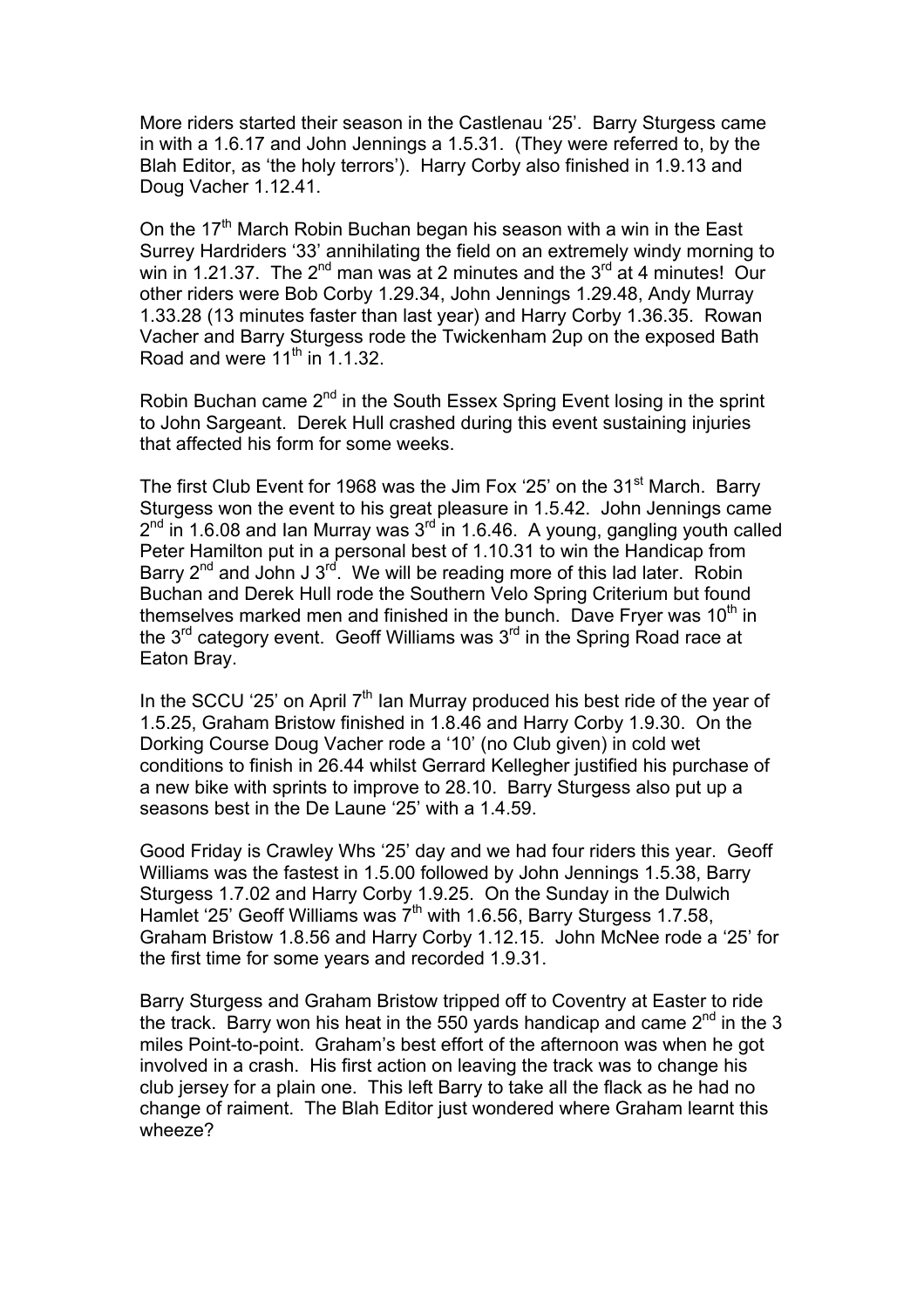More riders started their season in the Castlenau '25'. Barry Sturgess came in with a 1.6.17 and John Jennings a 1.5.31. (They were referred to, by the Blah Editor, as 'the holy terrors'). Harry Corby also finished in 1.9.13 and Doug Vacher 1.12.41.

On the  $17<sup>th</sup>$  March Robin Buchan began his season with a win in the East Surrey Hardriders '33' annihilating the field on an extremely windy morning to win in 1.21.37. The  $2^{nd}$  man was at 2 minutes and the  $3^{rd}$  at 4 minutes! Our other riders were Bob Corby 1.29.34, John Jennings 1.29.48, Andy Murray 1.33.28 (13 minutes faster than last year) and Harry Corby 1.36.35. Rowan Vacher and Barry Sturgess rode the Twickenham 2up on the exposed Bath Road and were  $11^{th}$  in  $1.1.32$ .

Robin Buchan came  $2^{nd}$  in the South Essex Spring Event losing in the sprint to John Sargeant. Derek Hull crashed during this event sustaining injuries that affected his form for some weeks.

The first Club Event for 1968 was the Jim Fox '25' on the 31<sup>st</sup> March. Barry Sturgess won the event to his great pleasure in 1.5.42. John Jennings came  $2<sup>nd</sup>$  in 1.6.08 and Ian Murray was  $3<sup>rd</sup>$  in 1.6.46. A young, gangling youth called Peter Hamilton put in a personal best of 1.10.31 to win the Handicap from Barry  $2^{nd}$  and John J  $3^{rd}$ . We will be reading more of this lad later. Robin Buchan and Derek Hull rode the Southern Velo Spring Criterium but found themselves marked men and finished in the bunch. Dave Fryer was  $10<sup>th</sup>$  in the  $3<sup>rd</sup>$  category event. Geoff Williams was  $3<sup>rd</sup>$  in the Spring Road race at Eaton Bray.

In the SCCU '25' on April  $7<sup>th</sup>$  Ian Murray produced his best ride of the year of 1.5.25, Graham Bristow finished in 1.8.46 and Harry Corby 1.9.30. On the Dorking Course Doug Vacher rode a '10' (no Club given) in cold wet conditions to finish in 26.44 whilst Gerrard Kellegher justified his purchase of a new bike with sprints to improve to 28.10. Barry Sturgess also put up a seasons best in the De Laune '25' with a 1.4.59.

Good Friday is Crawley Whs '25' day and we had four riders this year. Geoff Williams was the fastest in 1.5.00 followed by John Jennings 1.5.38, Barry Sturgess 1.7.02 and Harry Corby 1.9.25. On the Sunday in the Dulwich Hamlet '25' Geoff Williams was 7<sup>th</sup> with 1.6.56, Barry Sturgess 1.7.58, Graham Bristow 1.8.56 and Harry Corby 1.12.15. John McNee rode a '25' for the first time for some years and recorded 1.9.31.

Barry Sturgess and Graham Bristow tripped off to Coventry at Easter to ride the track. Barry won his heat in the 550 yards handicap and came  $2<sup>nd</sup>$  in the 3 miles Point-to-point. Graham's best effort of the afternoon was when he got involved in a crash. His first action on leaving the track was to change his club jersey for a plain one. This left Barry to take all the flack as he had no change of raiment. The Blah Editor just wondered where Graham learnt this wheeze?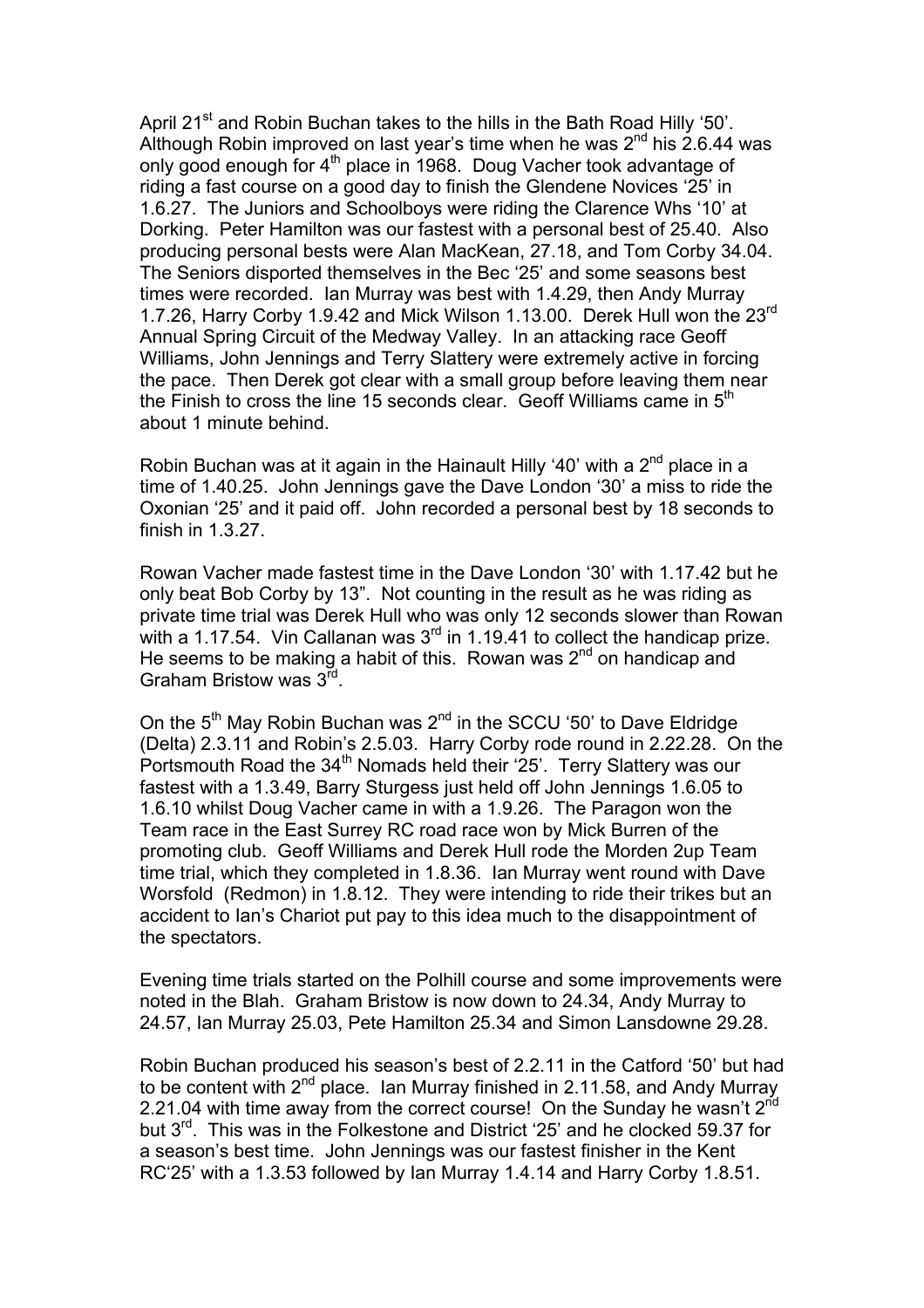April 21<sup>st</sup> and Robin Buchan takes to the hills in the Bath Road Hilly '50'. Although Robin improved on last year's time when he was  $2<sup>nd</sup>$  his 2.6.44 was only good enough for 4<sup>th</sup> place in 1968. Doug Vacher took advantage of riding a fast course on a good day to finish the Glendene Novices '25' in 1.6.27. The Juniors and Schoolboys were riding the Clarence Whs '10' at Dorking. Peter Hamilton was our fastest with a personal best of 25.40. Also producing personal bests were Alan MacKean, 27.18, and Tom Corby 34.04. The Seniors disported themselves in the Bec '25' and some seasons best times were recorded. Ian Murray was best with 1.4.29, then Andy Murray 1.7.26, Harry Corby 1.9.42 and Mick Wilson 1.13.00. Derek Hull won the 23<sup>rd</sup> Annual Spring Circuit of the Medway Valley. In an attacking race Geoff Williams, John Jennings and Terry Slattery were extremely active in forcing the pace. Then Derek got clear with a small group before leaving them near the Finish to cross the line 15 seconds clear. Geoff Williams came in  $5<sup>th</sup>$ about 1 minute behind.

Robin Buchan was at it again in the Hainault Hilly '40' with a  $2<sup>nd</sup>$  place in a time of 1.40.25. John Jennings gave the Dave London '30' a miss to ride the Oxonian '25' and it paid off. John recorded a personal best by 18 seconds to finish in 1.3.27.

Rowan Vacher made fastest time in the Dave London '30' with 1.17.42 but he only beat Bob Corby by 13". Not counting in the result as he was riding as private time trial was Derek Hull who was only 12 seconds slower than Rowan with a 1.17.54. Vin Callanan was  $3^{rd}$  in 1.19.41 to collect the handicap prize. He seems to be making a habit of this. Rowan was  $2<sup>nd</sup>$  on handicap and Graham Bristow was 3rd.

On the  $5<sup>th</sup>$  May Robin Buchan was  $2<sup>nd</sup>$  in the SCCU '50' to Dave Eldridge (Delta) 2.3.11 and Robin's 2.5.03. Harry Corby rode round in 2.22.28. On the Portsmouth Road the  $34<sup>th</sup>$  Nomads held their '25'. Terry Slattery was our fastest with a 1.3.49, Barry Sturgess just held off John Jennings 1.6.05 to 1.6.10 whilst Doug Vacher came in with a 1.9.26. The Paragon won the Team race in the East Surrey RC road race won by Mick Burren of the promoting club. Geoff Williams and Derek Hull rode the Morden 2up Team time trial, which they completed in 1.8.36. Ian Murray went round with Dave Worsfold (Redmon) in 1.8.12. They were intending to ride their trikes but an accident to Ian's Chariot put pay to this idea much to the disappointment of the spectators.

Evening time trials started on the Polhill course and some improvements were noted in the Blah. Graham Bristow is now down to 24.34, Andy Murray to 24.57, Ian Murray 25.03, Pete Hamilton 25.34 and Simon Lansdowne 29.28.

Robin Buchan produced his season's best of 2.2.11 in the Catford '50' but had to be content with  $2^{nd}$  place. Ian Murray finished in 2.11.58, and Andy Murray 2.21.04 with time away from the correct course! On the Sunday he wasn't 2<sup>nd</sup> but 3<sup>rd</sup>. This was in the Folkestone and District '25' and he clocked 59.37 for a season's best time. John Jennings was our fastest finisher in the Kent RC'25' with a 1.3.53 followed by Ian Murray 1.4.14 and Harry Corby 1.8.51.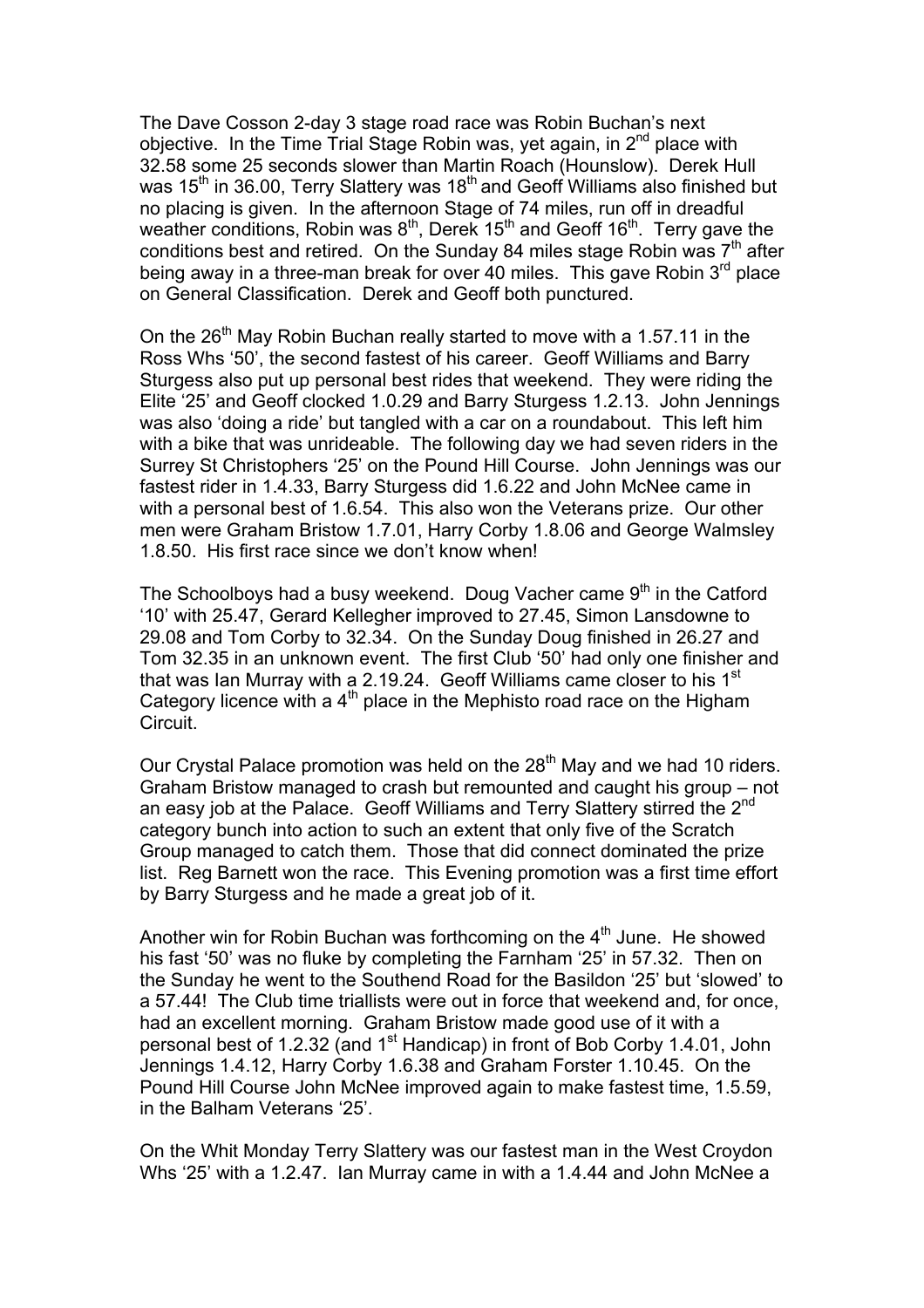The Dave Cosson 2-day 3 stage road race was Robin Buchan's next objective. In the Time Trial Stage Robin was, yet again, in  $2^{nd}$  place with 32.58 some 25 seconds slower than Martin Roach (Hounslow). Derek Hull was  $15<sup>th</sup>$  in 36.00, Terry Slattery was  $18<sup>th</sup>$  and Geoff Williams also finished but no placing is given. In the afternoon Stage of 74 miles, run off in dreadful weather conditions, Robin was  $8<sup>th</sup>$ , Derek 15<sup>th</sup> and Geoff 16<sup>th</sup>. Terry gave the conditions best and retired. On the Sunday 84 miles stage Robin was  $7<sup>th</sup>$  after being away in a three-man break for over 40 miles. This gave Robin 3<sup>rd</sup> place on General Classification. Derek and Geoff both punctured.

On the  $26<sup>th</sup>$  May Robin Buchan really started to move with a 1.57.11 in the Ross Whs '50', the second fastest of his career. Geoff Williams and Barry Sturgess also put up personal best rides that weekend. They were riding the Elite '25' and Geoff clocked 1.0.29 and Barry Sturgess 1.2.13. John Jennings was also 'doing a ride' but tangled with a car on a roundabout. This left him with a bike that was unrideable. The following day we had seven riders in the Surrey St Christophers '25' on the Pound Hill Course. John Jennings was our fastest rider in 1.4.33, Barry Sturgess did 1.6.22 and John McNee came in with a personal best of 1.6.54. This also won the Veterans prize. Our other men were Graham Bristow 1.7.01, Harry Corby 1.8.06 and George Walmsley 1.8.50. His first race since we don't know when!

The Schoolboys had a busy weekend. Doug Vacher came  $9<sup>th</sup>$  in the Catford '10' with 25.47, Gerard Kellegher improved to 27.45, Simon Lansdowne to 29.08 and Tom Corby to 32.34. On the Sunday Doug finished in 26.27 and Tom 32.35 in an unknown event. The first Club '50' had only one finisher and that was Ian Murray with a 2.19.24. Geoff Williams came closer to his 1<sup>st</sup> Category licence with a 4<sup>th</sup> place in the Mephisto road race on the Higham Circuit.

Our Crystal Palace promotion was held on the  $28<sup>th</sup>$  May and we had 10 riders. Graham Bristow managed to crash but remounted and caught his group – not an easy job at the Palace. Geoff Williams and Terry Slattery stirred the 2<sup>nd</sup> category bunch into action to such an extent that only five of the Scratch Group managed to catch them. Those that did connect dominated the prize list. Reg Barnett won the race. This Evening promotion was a first time effort by Barry Sturgess and he made a great job of it.

Another win for Robin Buchan was forthcoming on the  $4<sup>th</sup>$  June. He showed his fast '50' was no fluke by completing the Farnham '25' in 57.32. Then on the Sunday he went to the Southend Road for the Basildon '25' but 'slowed' to a 57.44! The Club time triallists were out in force that weekend and, for once, had an excellent morning. Graham Bristow made good use of it with a personal best of 1.2.32 (and 1<sup>st</sup> Handicap) in front of Bob Corby 1.4.01, John Jennings 1.4.12, Harry Corby 1.6.38 and Graham Forster 1.10.45. On the Pound Hill Course John McNee improved again to make fastest time, 1.5.59, in the Balham Veterans '25'.

On the Whit Monday Terry Slattery was our fastest man in the West Croydon Whs '25' with a 1.2.47. Ian Murray came in with a 1.4.44 and John McNee a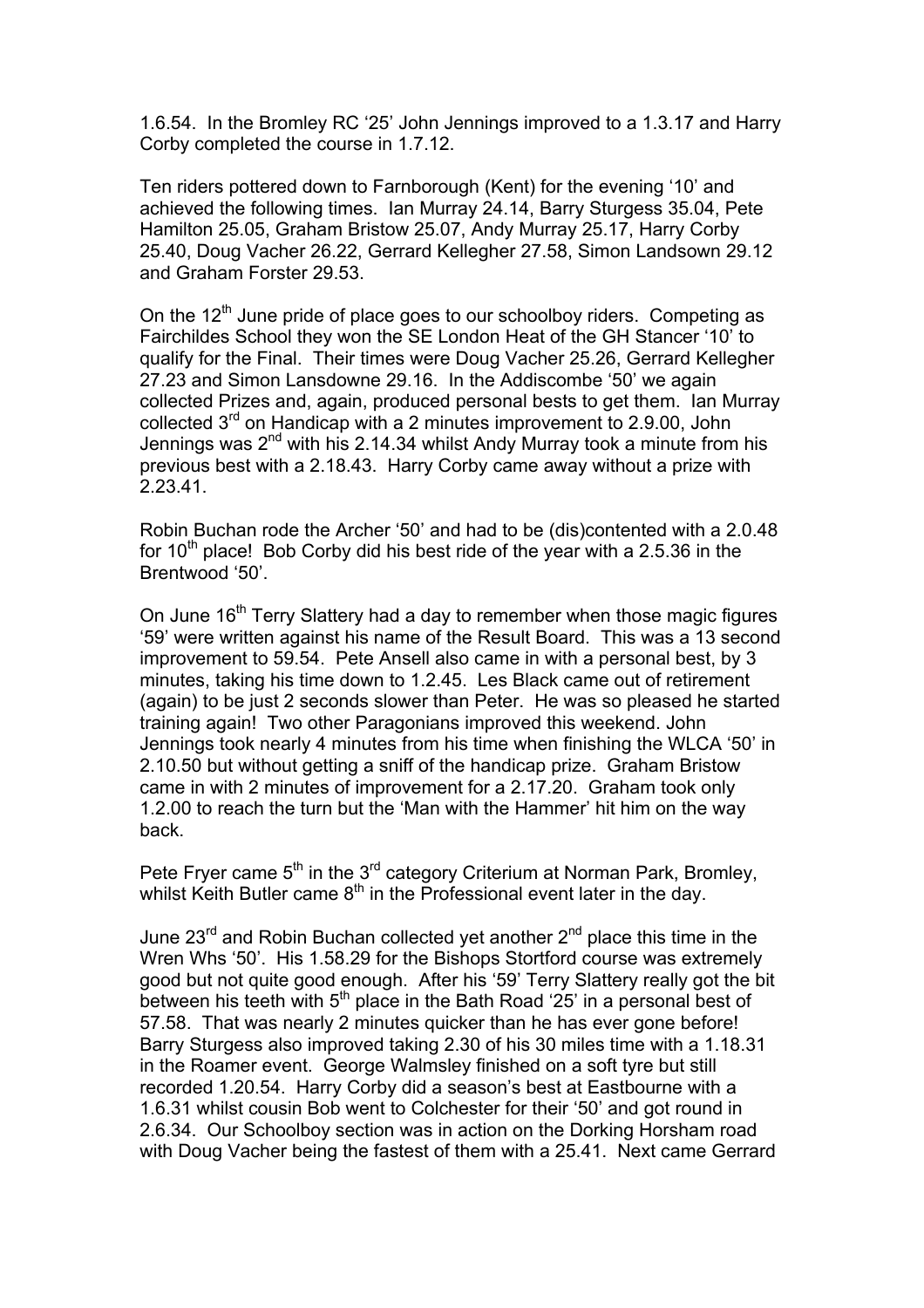1.6.54. In the Bromley RC '25' John Jennings improved to a 1.3.17 and Harry Corby completed the course in 1.7.12.

Ten riders pottered down to Farnborough (Kent) for the evening '10' and achieved the following times. Ian Murray 24.14, Barry Sturgess 35.04, Pete Hamilton 25.05, Graham Bristow 25.07, Andy Murray 25.17, Harry Corby 25.40, Doug Vacher 26.22, Gerrard Kellegher 27.58, Simon Landsown 29.12 and Graham Forster 29.53.

On the  $12<sup>th</sup>$  June pride of place goes to our schoolboy riders. Competing as Fairchildes School they won the SE London Heat of the GH Stancer '10' to qualify for the Final. Their times were Doug Vacher 25.26, Gerrard Kellegher 27.23 and Simon Lansdowne 29.16. In the Addiscombe '50' we again collected Prizes and, again, produced personal bests to get them. Ian Murray collected 3rd on Handicap with a 2 minutes improvement to 2.9.00, John Jennings was  $2^{nd}$  with his 2.14.34 whilst Andy Murray took a minute from his previous best with a 2.18.43. Harry Corby came away without a prize with 2.23.41.

Robin Buchan rode the Archer '50' and had to be (dis)contented with a 2.0.48 for  $10^{th}$  place! Bob Corby did his best ride of the year with a 2.5.36 in the Brentwood '50'.

On June 16<sup>th</sup> Terry Slattery had a day to remember when those magic figures '59' were written against his name of the Result Board. This was a 13 second improvement to 59.54. Pete Ansell also came in with a personal best, by 3 minutes, taking his time down to 1.2.45. Les Black came out of retirement (again) to be just 2 seconds slower than Peter. He was so pleased he started training again! Two other Paragonians improved this weekend. John Jennings took nearly 4 minutes from his time when finishing the WLCA '50' in 2.10.50 but without getting a sniff of the handicap prize. Graham Bristow came in with 2 minutes of improvement for a 2.17.20. Graham took only 1.2.00 to reach the turn but the 'Man with the Hammer' hit him on the way back.

Pete Fryer came  $5<sup>th</sup>$  in the  $3<sup>rd</sup>$  category Criterium at Norman Park, Bromley, whilst Keith Butler came  $8<sup>th</sup>$  in the Professional event later in the day.

June  $23<sup>rd</sup>$  and Robin Buchan collected yet another  $2<sup>nd</sup>$  place this time in the Wren Whs '50'. His 1.58.29 for the Bishops Stortford course was extremely good but not quite good enough. After his '59' Terry Slattery really got the bit between his teeth with  $5<sup>th</sup>$  place in the Bath Road '25' in a personal best of 57.58. That was nearly 2 minutes quicker than he has ever gone before! Barry Sturgess also improved taking 2.30 of his 30 miles time with a 1.18.31 in the Roamer event. George Walmsley finished on a soft tyre but still recorded 1.20.54. Harry Corby did a season's best at Eastbourne with a 1.6.31 whilst cousin Bob went to Colchester for their '50' and got round in 2.6.34. Our Schoolboy section was in action on the Dorking Horsham road with Doug Vacher being the fastest of them with a 25.41. Next came Gerrard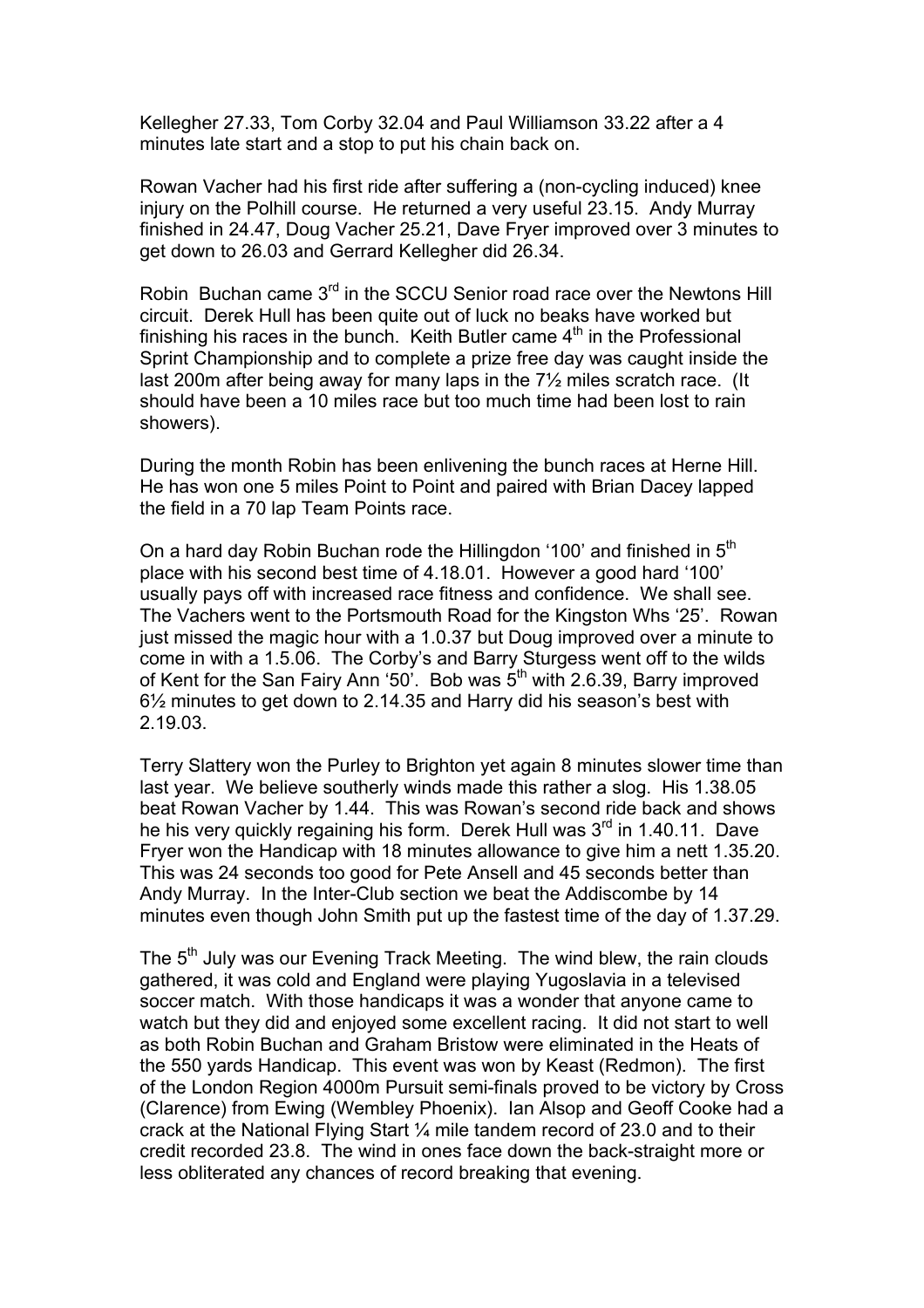Kellegher 27.33, Tom Corby 32.04 and Paul Williamson 33.22 after a 4 minutes late start and a stop to put his chain back on.

Rowan Vacher had his first ride after suffering a (non-cycling induced) knee injury on the Polhill course. He returned a very useful 23.15. Andy Murray finished in 24.47, Doug Vacher 25.21, Dave Fryer improved over 3 minutes to get down to 26.03 and Gerrard Kellegher did 26.34.

Robin Buchan came 3<sup>rd</sup> in the SCCU Senior road race over the Newtons Hill circuit. Derek Hull has been quite out of luck no beaks have worked but finishing his races in the bunch. Keith Butler came  $4<sup>th</sup>$  in the Professional Sprint Championship and to complete a prize free day was caught inside the last 200m after being away for many laps in the 7½ miles scratch race. (It should have been a 10 miles race but too much time had been lost to rain showers).

During the month Robin has been enlivening the bunch races at Herne Hill. He has won one 5 miles Point to Point and paired with Brian Dacey lapped the field in a 70 lap Team Points race.

On a hard day Robin Buchan rode the Hillingdon '100' and finished in 5<sup>th</sup> place with his second best time of 4.18.01. However a good hard '100' usually pays off with increased race fitness and confidence. We shall see. The Vachers went to the Portsmouth Road for the Kingston Whs '25'. Rowan just missed the magic hour with a 1.0.37 but Doug improved over a minute to come in with a 1.5.06. The Corby's and Barry Sturgess went off to the wilds of Kent for the San Fairy Ann '50'. Bob was 5<sup>th</sup> with 2.6.39, Barry improved 6½ minutes to get down to 2.14.35 and Harry did his season's best with 2.19.03.

Terry Slattery won the Purley to Brighton yet again 8 minutes slower time than last year. We believe southerly winds made this rather a slog. His 1.38.05 beat Rowan Vacher by 1.44. This was Rowan's second ride back and shows he his very quickly regaining his form. Derek Hull was 3<sup>rd</sup> in 1.40.11. Dave Fryer won the Handicap with 18 minutes allowance to give him a nett 1.35.20. This was 24 seconds too good for Pete Ansell and 45 seconds better than Andy Murray. In the Inter-Club section we beat the Addiscombe by 14 minutes even though John Smith put up the fastest time of the day of 1.37.29.

The 5<sup>th</sup> July was our Evening Track Meeting. The wind blew, the rain clouds gathered, it was cold and England were playing Yugoslavia in a televised soccer match. With those handicaps it was a wonder that anyone came to watch but they did and enjoyed some excellent racing. It did not start to well as both Robin Buchan and Graham Bristow were eliminated in the Heats of the 550 yards Handicap. This event was won by Keast (Redmon). The first of the London Region 4000m Pursuit semi-finals proved to be victory by Cross (Clarence) from Ewing (Wembley Phoenix). Ian Alsop and Geoff Cooke had a crack at the National Flying Start ¼ mile tandem record of 23.0 and to their credit recorded 23.8. The wind in ones face down the back-straight more or less obliterated any chances of record breaking that evening.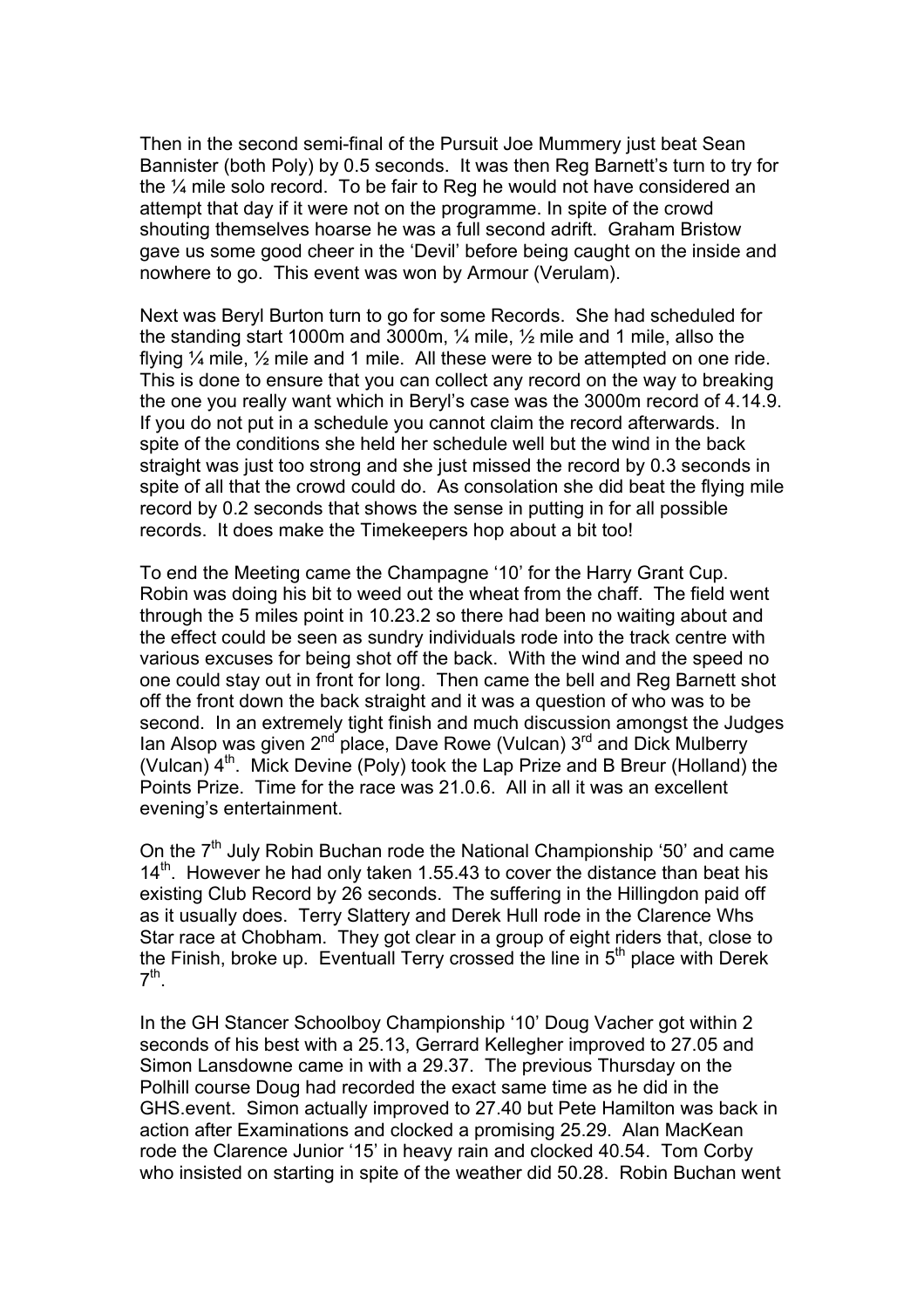Then in the second semi-final of the Pursuit Joe Mummery just beat Sean Bannister (both Poly) by 0.5 seconds. It was then Reg Barnett's turn to try for the ¼ mile solo record. To be fair to Reg he would not have considered an attempt that day if it were not on the programme. In spite of the crowd shouting themselves hoarse he was a full second adrift. Graham Bristow gave us some good cheer in the 'Devil' before being caught on the inside and nowhere to go. This event was won by Armour (Verulam).

Next was Beryl Burton turn to go for some Records. She had scheduled for the standing start 1000m and 3000m, ¼ mile, ½ mile and 1 mile, allso the flying ¼ mile, ½ mile and 1 mile. All these were to be attempted on one ride. This is done to ensure that you can collect any record on the way to breaking the one you really want which in Beryl's case was the 3000m record of 4.14.9. If you do not put in a schedule you cannot claim the record afterwards. In spite of the conditions she held her schedule well but the wind in the back straight was just too strong and she just missed the record by 0.3 seconds in spite of all that the crowd could do. As consolation she did beat the flying mile record by 0.2 seconds that shows the sense in putting in for all possible records. It does make the Timekeepers hop about a bit too!

To end the Meeting came the Champagne '10' for the Harry Grant Cup. Robin was doing his bit to weed out the wheat from the chaff. The field went through the 5 miles point in 10.23.2 so there had been no waiting about and the effect could be seen as sundry individuals rode into the track centre with various excuses for being shot off the back. With the wind and the speed no one could stay out in front for long. Then came the bell and Reg Barnett shot off the front down the back straight and it was a question of who was to be second. In an extremely tight finish and much discussion amongst the Judges Ian Alsop was given  $2^{nd}$  place, Dave Rowe (Vulcan)  $3^{rd}$  and Dick Mulberry (Vulcan)  $4<sup>th</sup>$ . Mick Devine (Poly) took the Lap Prize and B Breur (Holland) the Points Prize. Time for the race was 21.0.6. All in all it was an excellent evening's entertainment.

On the  $7<sup>th</sup>$  July Robin Buchan rode the National Championship '50' and came  $14<sup>th</sup>$ . However he had only taken 1.55.43 to cover the distance than beat his existing Club Record by 26 seconds. The suffering in the Hillingdon paid off as it usually does. Terry Slattery and Derek Hull rode in the Clarence Whs Star race at Chobham. They got clear in a group of eight riders that, close to the Finish, broke up. Eventuall Terry crossed the line in 5<sup>th</sup> place with Derek  $7<sup>th</sup>$ .

In the GH Stancer Schoolboy Championship '10' Doug Vacher got within 2 seconds of his best with a 25.13, Gerrard Kellegher improved to 27.05 and Simon Lansdowne came in with a 29.37. The previous Thursday on the Polhill course Doug had recorded the exact same time as he did in the GHS.event. Simon actually improved to 27.40 but Pete Hamilton was back in action after Examinations and clocked a promising 25.29. Alan MacKean rode the Clarence Junior '15' in heavy rain and clocked 40.54. Tom Corby who insisted on starting in spite of the weather did 50.28. Robin Buchan went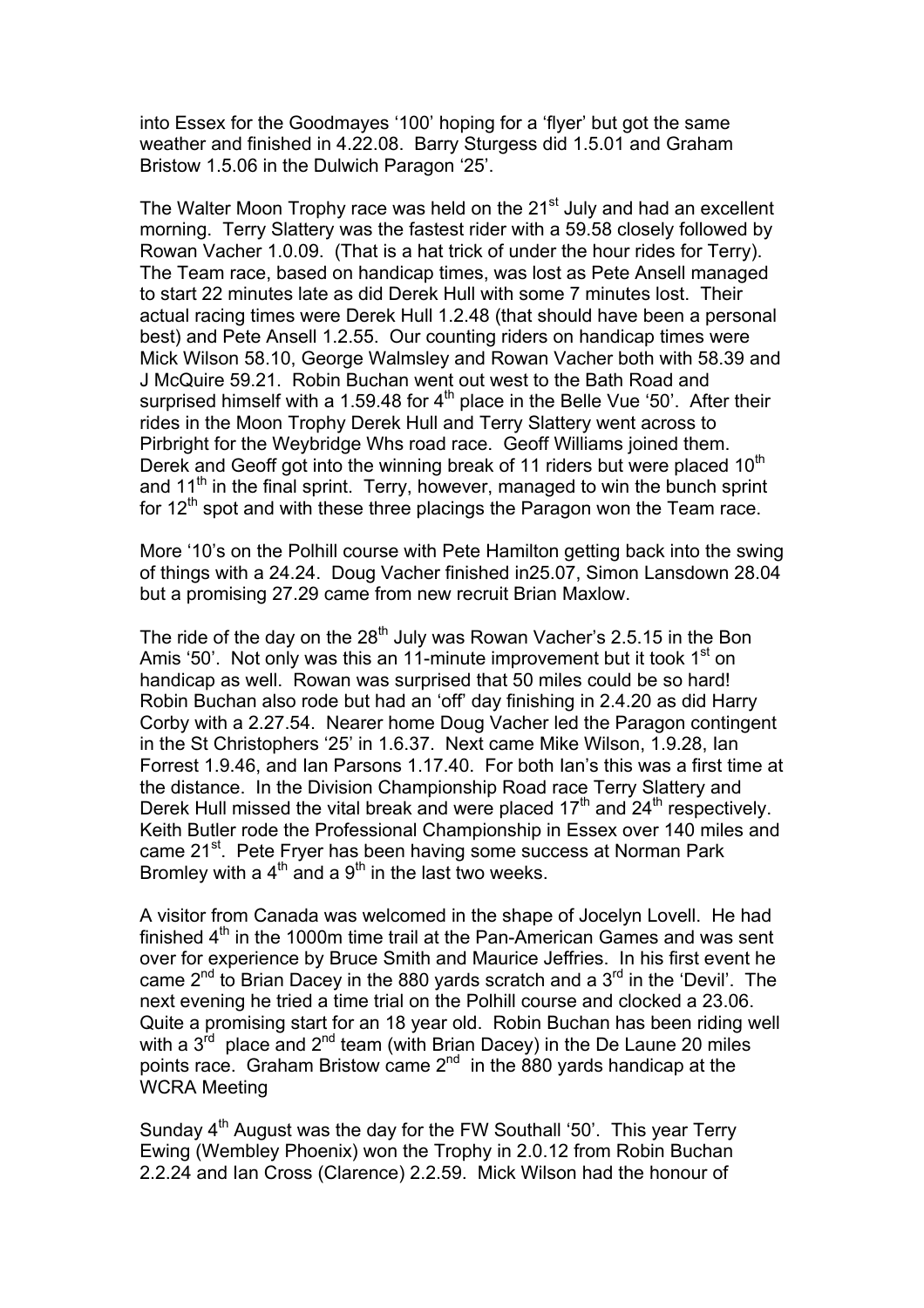into Essex for the Goodmayes '100' hoping for a 'flyer' but got the same weather and finished in 4.22.08. Barry Sturgess did 1.5.01 and Graham Bristow 1.5.06 in the Dulwich Paragon '25'.

The Walter Moon Trophy race was held on the 21<sup>st</sup> July and had an excellent morning. Terry Slattery was the fastest rider with a 59.58 closely followed by Rowan Vacher 1.0.09. (That is a hat trick of under the hour rides for Terry). The Team race, based on handicap times, was lost as Pete Ansell managed to start 22 minutes late as did Derek Hull with some 7 minutes lost. Their actual racing times were Derek Hull 1.2.48 (that should have been a personal best) and Pete Ansell 1.2.55. Our counting riders on handicap times were Mick Wilson 58.10, George Walmsley and Rowan Vacher both with 58.39 and J McQuire 59.21. Robin Buchan went out west to the Bath Road and surprised himself with a 1.59.48 for  $4<sup>th</sup>$  place in the Belle Vue '50'. After their rides in the Moon Trophy Derek Hull and Terry Slattery went across to Pirbright for the Weybridge Whs road race. Geoff Williams joined them. Derek and Geoff got into the winning break of 11 riders but were placed  $10<sup>th</sup>$ and  $11<sup>th</sup>$  in the final sprint. Terry, however, managed to win the bunch sprint for  $12<sup>th</sup>$  spot and with these three placings the Paragon won the Team race.

More '10's on the Polhill course with Pete Hamilton getting back into the swing of things with a 24.24. Doug Vacher finished in25.07, Simon Lansdown 28.04 but a promising 27.29 came from new recruit Brian Maxlow.

The ride of the day on the  $28<sup>th</sup>$  July was Rowan Vacher's 2.5.15 in the Bon Amis '50'. Not only was this an 11-minute improvement but it took  $1<sup>st</sup>$  on handicap as well. Rowan was surprised that 50 miles could be so hard! Robin Buchan also rode but had an 'off' day finishing in 2.4.20 as did Harry Corby with a 2.27.54. Nearer home Doug Vacher led the Paragon contingent in the St Christophers '25' in 1.6.37. Next came Mike Wilson, 1.9.28, Ian Forrest 1.9.46, and Ian Parsons 1.17.40. For both Ian's this was a first time at the distance. In the Division Championship Road race Terry Slattery and Derek Hull missed the vital break and were placed  $17<sup>th</sup>$  and  $24<sup>th</sup>$  respectively. Keith Butler rode the Professional Championship in Essex over 140 miles and came 21<sup>st</sup>. Pete Fryer has been having some success at Norman Park Bromley with a  $4<sup>th</sup>$  and a  $9<sup>th</sup>$  in the last two weeks.

A visitor from Canada was welcomed in the shape of Jocelyn Lovell. He had finished  $4<sup>th</sup>$  in the 1000m time trail at the Pan-American Games and was sent over for experience by Bruce Smith and Maurice Jeffries. In his first event he came  $2^{nd}$  to Brian Dacey in the 880 yards scratch and a  $3^{rd}$  in the 'Devil'. The next evening he tried a time trial on the Polhill course and clocked a 23.06. Quite a promising start for an 18 year old. Robin Buchan has been riding well with a  $3<sup>rd</sup>$  place and  $2<sup>nd</sup>$  team (with Brian Dacey) in the De Laune 20 miles points race. Graham Bristow came  $2^{nd}$  in the 880 yards handicap at the WCRA Meeting

Sunday  $4<sup>th</sup>$  August was the day for the FW Southall '50'. This year Terry Ewing (Wembley Phoenix) won the Trophy in 2.0.12 from Robin Buchan 2.2.24 and Ian Cross (Clarence) 2.2.59. Mick Wilson had the honour of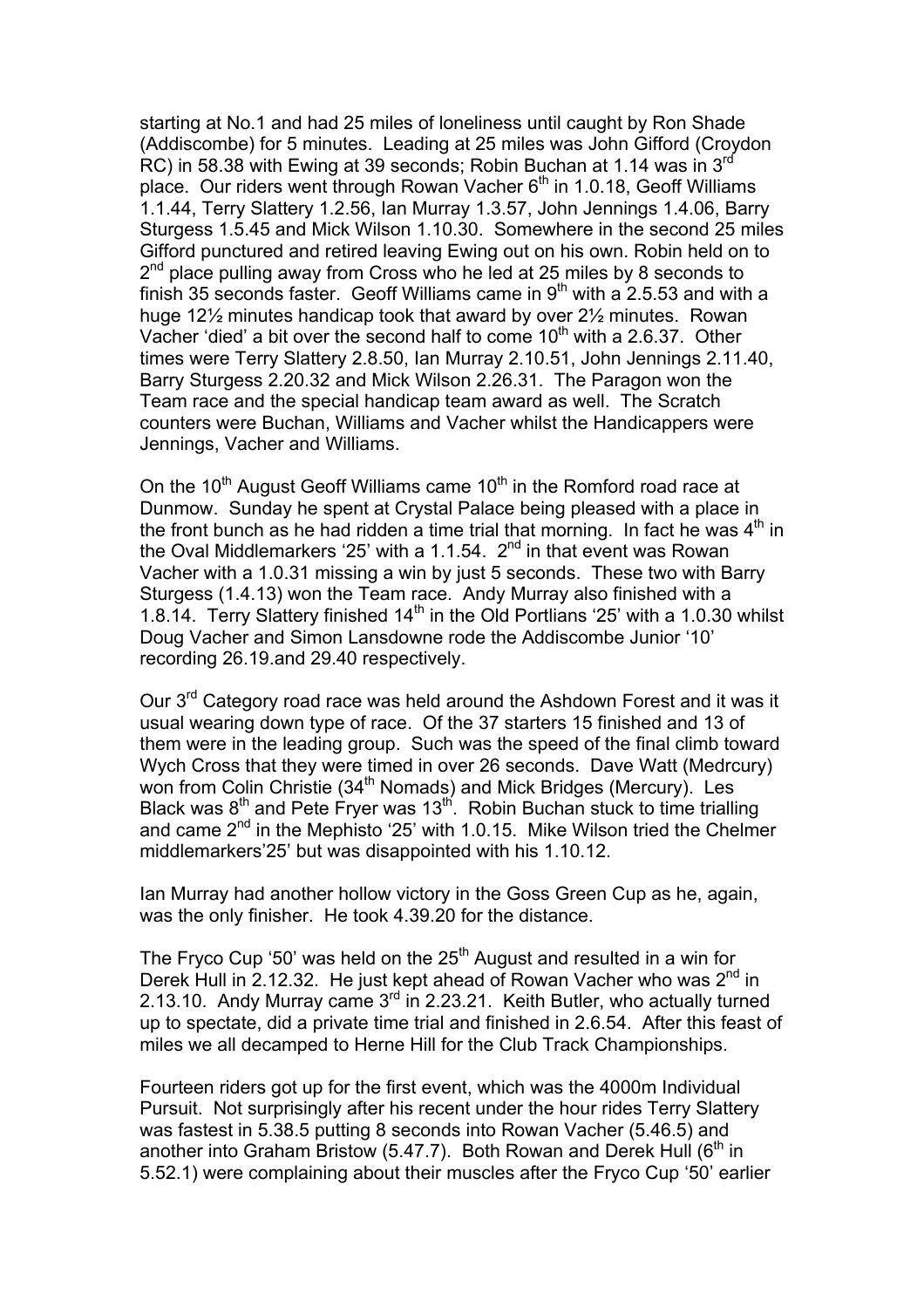starting at No.1 and had 25 miles of loneliness until caught by Ron Shade (Addiscombe) for 5 minutes. Leading at 25 miles was John Gifford (Croydon RC) in 58.38 with Ewing at 39 seconds; Robin Buchan at 1.14 was in 3rd place. Our riders went through Rowan Vacher  $6<sup>th</sup>$  in 1.0.18, Geoff Williams 1.1.44, Terry Slattery 1.2.56, Ian Murray 1.3.57, John Jennings 1.4.06, Barry Sturgess 1.5.45 and Mick Wilson 1.10.30. Somewhere in the second 25 miles Gifford punctured and retired leaving Ewing out on his own. Robin held on to 2<sup>nd</sup> place pulling away from Cross who he led at 25 miles by 8 seconds to finish 35 seconds faster. Geoff Williams came in  $9<sup>th</sup>$  with a 2.5.53 and with a huge 12½ minutes handicap took that award by over 2½ minutes. Rowan Vacher 'died' a bit over the second half to come  $10<sup>th</sup>$  with a 2.6.37. Other times were Terry Slattery 2.8.50, Ian Murray 2.10.51, John Jennings 2.11.40, Barry Sturgess 2.20.32 and Mick Wilson 2.26.31. The Paragon won the Team race and the special handicap team award as well. The Scratch counters were Buchan, Williams and Vacher whilst the Handicappers were Jennings, Vacher and Williams.

On the 10<sup>th</sup> August Geoff Williams came 10<sup>th</sup> in the Romford road race at Dunmow. Sunday he spent at Crystal Palace being pleased with a place in the front bunch as he had ridden a time trial that morning. In fact he was  $4<sup>th</sup>$  in the Oval Middlemarkers '25' with a 1.1.54.  $2<sup>nd</sup>$  in that event was Rowan Vacher with a 1.0.31 missing a win by just 5 seconds. These two with Barry Sturgess (1.4.13) won the Team race. Andy Murray also finished with a 1.8.14. Terry Slattery finished  $14<sup>th</sup>$  in the Old Portlians '25' with a 1.0.30 whilst Doug Vacher and Simon Lansdowne rode the Addiscombe Junior '10' recording 26.19.and 29.40 respectively.

Our 3rd Category road race was held around the Ashdown Forest and it was it usual wearing down type of race. Of the 37 starters 15 finished and 13 of them were in the leading group. Such was the speed of the final climb toward Wych Cross that they were timed in over 26 seconds. Dave Watt (Medrcury) won from Colin Christie (34<sup>th</sup> Nomads) and Mick Bridges (Mercury). Les Black was 8<sup>th</sup> and Pete Fryer was 13<sup>th</sup>. Robin Buchan stuck to time trialling and came 2<sup>nd</sup> in the Mephisto '25' with 1.0.15. Mike Wilson tried the Chelmer middlemarkers'25' but was disappointed with his 1.10.12.

Ian Murray had another hollow victory in the Goss Green Cup as he, again, was the only finisher. He took 4.39.20 for the distance.

The Fryco Cup '50' was held on the  $25<sup>th</sup>$  August and resulted in a win for Derek Hull in 2.12.32. He just kept ahead of Rowan Vacher who was  $2^{nd}$  in 2.13.10. Andy Murray came  $3<sup>rd</sup>$  in 2.23.21. Keith Butler, who actually turned up to spectate, did a private time trial and finished in 2.6.54. After this feast of miles we all decamped to Herne Hill for the Club Track Championships.

Fourteen riders got up for the first event, which was the 4000m Individual Pursuit. Not surprisingly after his recent under the hour rides Terry Slattery was fastest in 5.38.5 putting 8 seconds into Rowan Vacher (5.46.5) and another into Graham Bristow (5.47.7). Both Rowan and Derek Hull  $(6<sup>th</sup>$  in 5.52.1) were complaining about their muscles after the Fryco Cup '50' earlier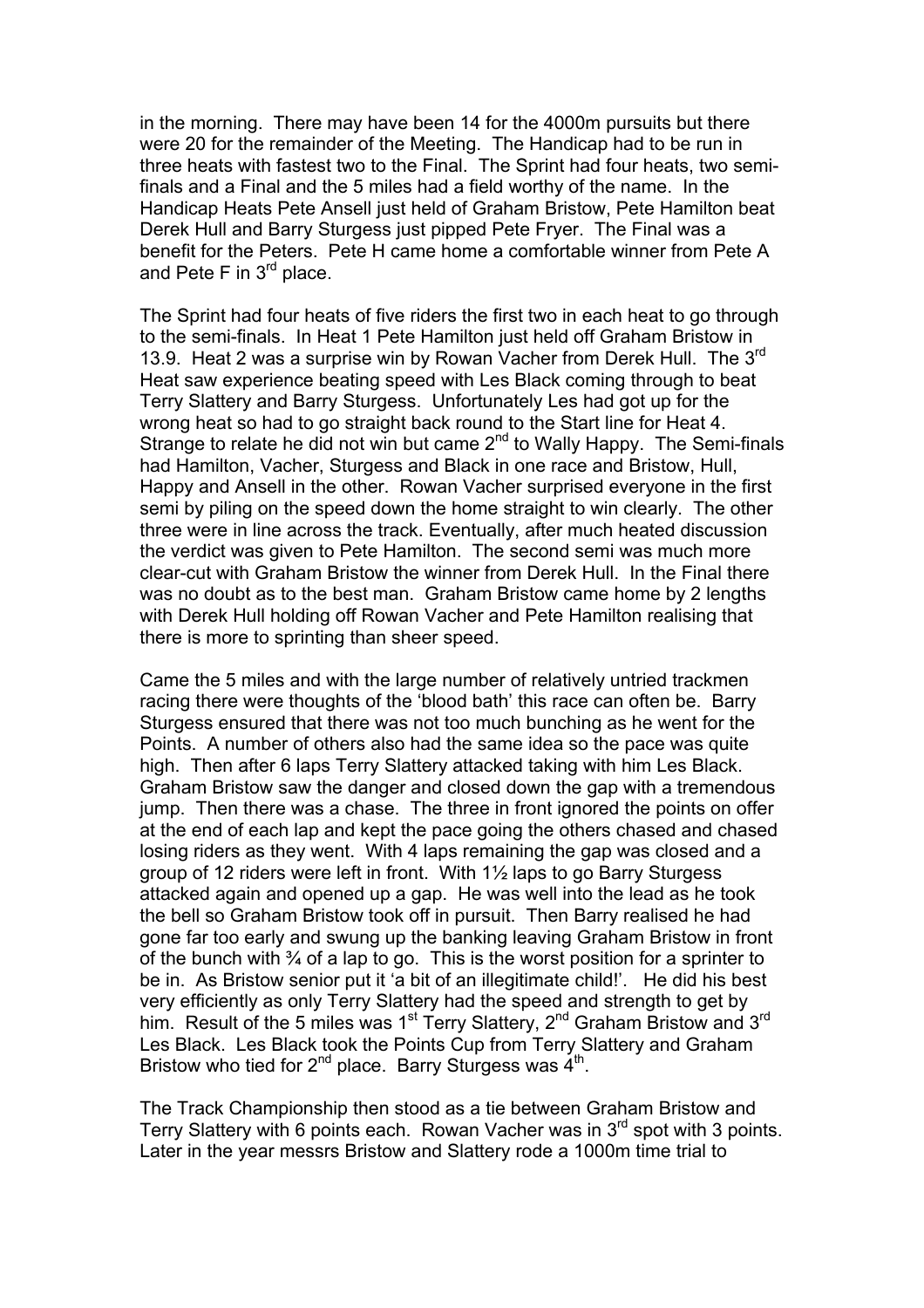in the morning. There may have been 14 for the 4000m pursuits but there were 20 for the remainder of the Meeting. The Handicap had to be run in three heats with fastest two to the Final. The Sprint had four heats, two semifinals and a Final and the 5 miles had a field worthy of the name. In the Handicap Heats Pete Ansell just held of Graham Bristow, Pete Hamilton beat Derek Hull and Barry Sturgess just pipped Pete Fryer. The Final was a benefit for the Peters. Pete H came home a comfortable winner from Pete A and Pete F in  $3<sup>rd</sup>$  place.

The Sprint had four heats of five riders the first two in each heat to go through to the semi-finals. In Heat 1 Pete Hamilton just held off Graham Bristow in 13.9. Heat 2 was a surprise win by Rowan Vacher from Derek Hull. The 3<sup>rd</sup> Heat saw experience beating speed with Les Black coming through to beat Terry Slattery and Barry Sturgess. Unfortunately Les had got up for the wrong heat so had to go straight back round to the Start line for Heat 4. Strange to relate he did not win but came 2<sup>nd</sup> to Wally Happy. The Semi-finals had Hamilton, Vacher, Sturgess and Black in one race and Bristow, Hull, Happy and Ansell in the other. Rowan Vacher surprised everyone in the first semi by piling on the speed down the home straight to win clearly. The other three were in line across the track. Eventually, after much heated discussion the verdict was given to Pete Hamilton. The second semi was much more clear-cut with Graham Bristow the winner from Derek Hull. In the Final there was no doubt as to the best man. Graham Bristow came home by 2 lengths with Derek Hull holding off Rowan Vacher and Pete Hamilton realising that there is more to sprinting than sheer speed.

Came the 5 miles and with the large number of relatively untried trackmen racing there were thoughts of the 'blood bath' this race can often be. Barry Sturgess ensured that there was not too much bunching as he went for the Points. A number of others also had the same idea so the pace was quite high. Then after 6 laps Terry Slattery attacked taking with him Les Black. Graham Bristow saw the danger and closed down the gap with a tremendous jump. Then there was a chase. The three in front ignored the points on offer at the end of each lap and kept the pace going the others chased and chased losing riders as they went. With 4 laps remaining the gap was closed and a group of 12 riders were left in front. With 1½ laps to go Barry Sturgess attacked again and opened up a gap. He was well into the lead as he took the bell so Graham Bristow took off in pursuit. Then Barry realised he had gone far too early and swung up the banking leaving Graham Bristow in front of the bunch with  $\frac{3}{4}$  of a lap to go. This is the worst position for a sprinter to be in. As Bristow senior put it 'a bit of an illegitimate child!'. He did his best very efficiently as only Terry Slattery had the speed and strength to get by him. Result of the 5 miles was 1<sup>st</sup> Terry Slattery, 2<sup>nd</sup> Graham Bristow and 3<sup>rd</sup> Les Black. Les Black took the Points Cup from Terry Slattery and Graham Bristow who tied for  $2^{nd}$  place. Barry Sturgess was  $4^{th}$ .

The Track Championship then stood as a tie between Graham Bristow and Terry Slattery with 6 points each. Rowan Vacher was in 3rd spot with 3 points. Later in the year messrs Bristow and Slattery rode a 1000m time trial to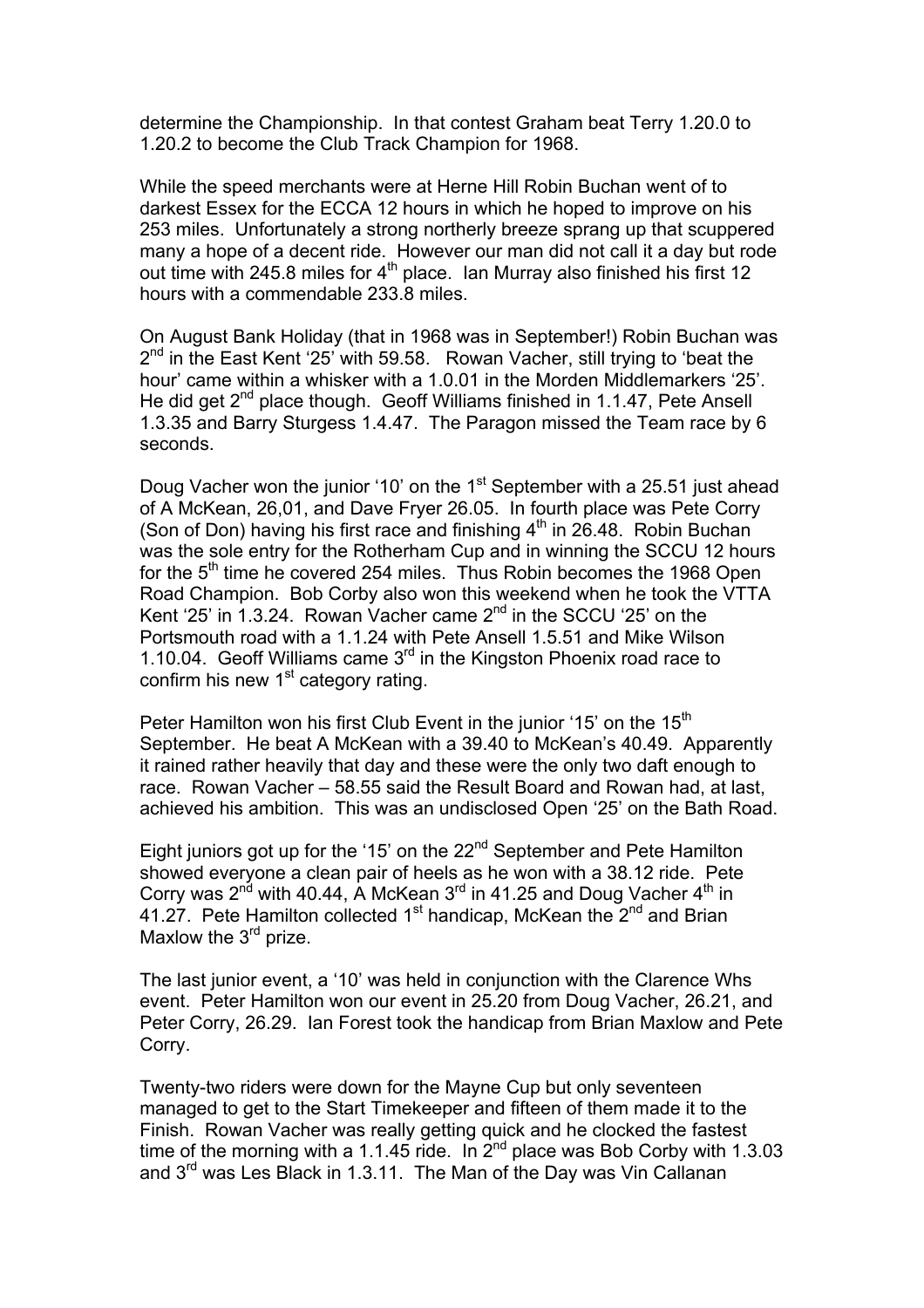determine the Championship. In that contest Graham beat Terry 1.20.0 to 1.20.2 to become the Club Track Champion for 1968.

While the speed merchants were at Herne Hill Robin Buchan went of to darkest Essex for the ECCA 12 hours in which he hoped to improve on his 253 miles. Unfortunately a strong northerly breeze sprang up that scuppered many a hope of a decent ride. However our man did not call it a day but rode out time with 245.8 miles for 4<sup>th</sup> place. Ian Murray also finished his first 12 hours with a commendable 233.8 miles.

On August Bank Holiday (that in 1968 was in September!) Robin Buchan was 2<sup>nd</sup> in the East Kent '25' with 59.58. Rowan Vacher, still trying to 'beat the hour' came within a whisker with a 1.0.01 in the Morden Middlemarkers '25'. He did get  $2^{nd}$  place though. Geoff Williams finished in 1.1.47, Pete Ansell 1.3.35 and Barry Sturgess 1.4.47. The Paragon missed the Team race by 6 seconds.

Doug Vacher won the junior '10' on the 1<sup>st</sup> September with a 25.51 just ahead of A McKean, 26,01, and Dave Fryer 26.05. In fourth place was Pete Corry (Son of Don) having his first race and finishing  $4<sup>th</sup>$  in 26.48. Robin Buchan was the sole entry for the Rotherham Cup and in winning the SCCU 12 hours for the  $5<sup>th</sup>$  time he covered 254 miles. Thus Robin becomes the 1968 Open Road Champion. Bob Corby also won this weekend when he took the VTTA Kent '25' in 1.3.24. Rowan Vacher came 2<sup>nd</sup> in the SCCU '25' on the Portsmouth road with a 1.1.24 with Pete Ansell 1.5.51 and Mike Wilson 1.10.04. Geoff Williams came  $3<sup>rd</sup>$  in the Kingston Phoenix road race to confirm his new 1<sup>st</sup> category rating.

Peter Hamilton won his first Club Event in the junior '15' on the  $15<sup>th</sup>$ September. He beat A McKean with a 39.40 to McKean's 40.49. Apparently it rained rather heavily that day and these were the only two daft enough to race. Rowan Vacher – 58.55 said the Result Board and Rowan had, at last, achieved his ambition. This was an undisclosed Open '25' on the Bath Road.

Eight juniors got up for the '15' on the 22<sup>nd</sup> September and Pete Hamilton showed everyone a clean pair of heels as he won with a 38.12 ride. Pete Corry was  $2^{n\bar{d}}$  with 40.44, A McKean  $3^{rd}$  in 41.25 and Doug Vacher  $4^{th}$  in 41.27. Pete Hamilton collected 1<sup>st</sup> handicap, McKean the  $2^{nd}$  and Brian Maxlow the 3<sup>rd</sup> prize.

The last junior event, a '10' was held in conjunction with the Clarence Whs event. Peter Hamilton won our event in 25.20 from Doug Vacher, 26.21, and Peter Corry, 26.29. Ian Forest took the handicap from Brian Maxlow and Pete Corry.

Twenty-two riders were down for the Mayne Cup but only seventeen managed to get to the Start Timekeeper and fifteen of them made it to the Finish. Rowan Vacher was really getting quick and he clocked the fastest time of the morning with a 1.1.45 ride. In  $2^{nd}$  place was Bob Corby with 1.3.03 and 3rd was Les Black in 1.3.11. The Man of the Day was Vin Callanan